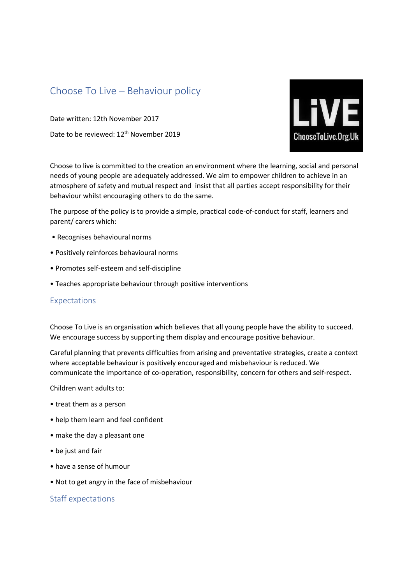## Choose To Live – Behaviour policy

Date written: 12th November 2017 Date to be reviewed: 12<sup>th</sup> November 2019



Choose to live is committed to the creation an environment where the learning, social and personal needs of young people are adequately addressed. We aim to empower children to achieve in an atmosphere of safety and mutual respect and insist that all parties accept responsibility for their behaviour whilst encouraging others to do the same.

The purpose of the policy is to provide a simple, practical code-of-conduct for staff, learners and parent/ carers which:

- Recognises behavioural norms
- Positively reinforces behavioural norms
- Promotes self-esteem and self-discipline
- Teaches appropriate behaviour through positive interventions

## Expectations

Choose To Live is an organisation which believes that all young people have the ability to succeed. We encourage success by supporting them display and encourage positive behaviour.

Careful planning that prevents difficulties from arising and preventative strategies, create a context where acceptable behaviour is positively encouraged and misbehaviour is reduced. We communicate the importance of co-operation, responsibility, concern for others and self-respect.

Children want adults to:

- treat them as a person
- help them learn and feel confident
- make the day a pleasant one
- be just and fair
- have a sense of humour
- Not to get angry in the face of misbehaviour

## Staff expectations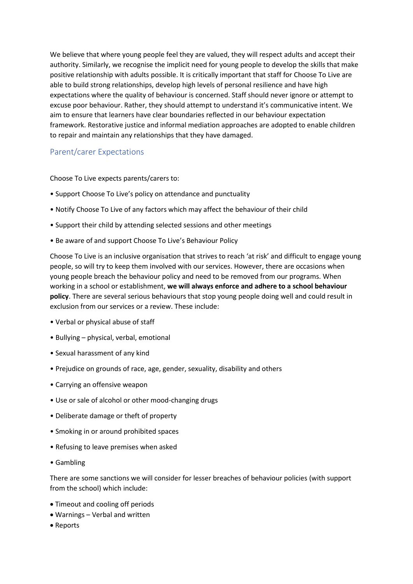We believe that where young people feel they are valued, they will respect adults and accept their authority. Similarly, we recognise the implicit need for young people to develop the skills that make positive relationship with adults possible. It is critically important that staff for Choose To Live are able to build strong relationships, develop high levels of personal resilience and have high expectations where the quality of behaviour is concerned. Staff should never ignore or attempt to excuse poor behaviour. Rather, they should attempt to understand it's communicative intent. We aim to ensure that learners have clear boundaries reflected in our behaviour expectation framework. Restorative justice and informal mediation approaches are adopted to enable children to repair and maintain any relationships that they have damaged.

## Parent/carer Expectations

Choose To Live expects parents/carers to:

- Support Choose To Live's policy on attendance and punctuality
- Notify Choose To Live of any factors which may affect the behaviour of their child
- Support their child by attending selected sessions and other meetings
- Be aware of and support Choose To Live's Behaviour Policy

Choose To Live is an inclusive organisation that strives to reach 'at risk' and difficult to engage young people, so will try to keep them involved with our services. However, there are occasions when young people breach the behaviour policy and need to be removed from our programs. When working in a school or establishment, **we will always enforce and adhere to a school behaviour policy**. There are several serious behaviours that stop young people doing well and could result in exclusion from our services or a review. These include:

- Verbal or physical abuse of staff
- Bullying physical, verbal, emotional
- Sexual harassment of any kind
- Prejudice on grounds of race, age, gender, sexuality, disability and others
- Carrying an offensive weapon
- Use or sale of alcohol or other mood-changing drugs
- Deliberate damage or theft of property
- Smoking in or around prohibited spaces
- Refusing to leave premises when asked
- Gambling

There are some sanctions we will consider for lesser breaches of behaviour policies (with support from the school) which include:

- Timeout and cooling off periods
- Warnings Verbal and written
- Reports